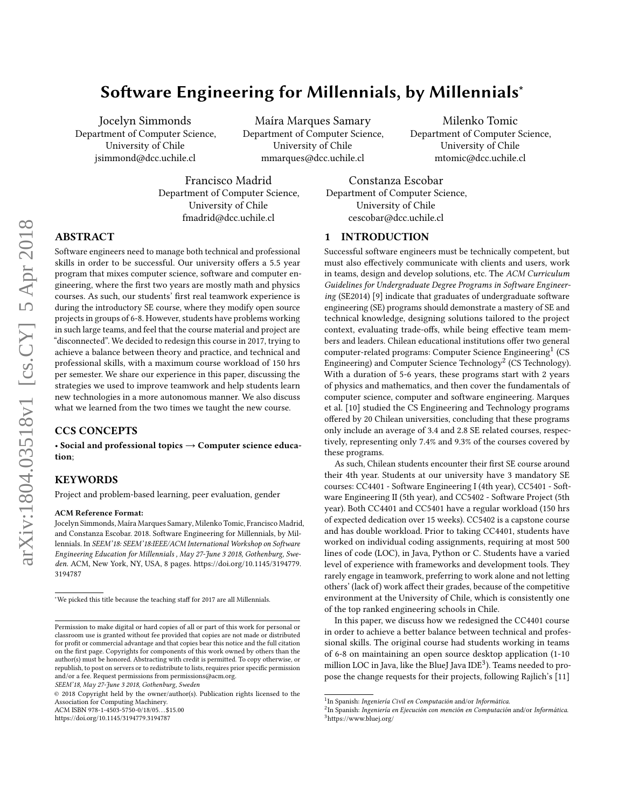# Software Engineering for Millennials, by Millennials<sup>∗</sup>

Jocelyn Simmonds Department of Computer Science, University of Chile jsimmond@dcc.uchile.cl

Maíra Marques Samary Department of Computer Science, University of Chile mmarques@dcc.uchile.cl

Francisco Madrid Department of Computer Science, University of Chile fmadrid@dcc.uchile.cl

Milenko Tomic Department of Computer Science, University of Chile mtomic@dcc.uchile.cl

Constanza Escobar Department of Computer Science, University of Chile cescobar@dcc.uchile.cl

### 1 INTRODUCTION

Successful software engineers must be technically competent, but must also effectively communicate with clients and users, work in teams, design and develop solutions, etc. The ACM Curriculum Guidelines for Undergraduate Degree Programs in Software Engineering (SE2014) [\[9\]](#page-7-1) indicate that graduates of undergraduate software engineering (SE) programs should demonstrate a mastery of SE and technical knowledge, designing solutions tailored to the project context, evaluating trade-offs, while being effective team members and leaders. Chilean educational institutions offer two general computer-related programs: Computer Science Engineering<sup>[1](#page-0-0)</sup> (CS Engineering) and Computer Science Technology $^2$  $^2$  (CS Technology). With a duration of 5-6 years, these programs start with 2 years of physics and mathematics, and then cover the fundamentals of computer science, computer and software engineering. Marques et al. [\[10\]](#page-7-2) studied the CS Engineering and Technology programs offered by 20 Chilean universities, concluding that these programs only include an average of 3.4 and 2.8 SE related courses, respectively, representing only 7.4% and 9.3% of the courses covered by these programs.

As such, Chilean students encounter their first SE course around their 4th year. Students at our university have 3 mandatory SE courses: CC4401 - Software Engineering I (4th year), CC5401 - Software Engineering II (5th year), and CC5402 - Software Project (5th year). Both CC4401 and CC5401 have a regular workload (150 hrs of expected dedication over 15 weeks). CC5402 is a capstone course and has double workload. Prior to taking CC4401, students have worked on individual coding assignments, requiring at most 500 lines of code (LOC), in Java, Python or C. Students have a varied level of experience with frameworks and development tools. They rarely engage in teamwork, preferring to work alone and not letting others' (lack of) work affect their grades, because of the competitive environment at the University of Chile, which is consistently one of the top ranked engineering schools in Chile.

In this paper, we discuss how we redesigned the CC4401 course in order to achieve a better balance between technical and professional skills. The original course had students working in teams of 6-8 on maintaining an open source desktop application (1-10 million LOC in Java, like the BlueJ Java IDE $3$ ). Teams needed to propose the change requests for their projects, following Rajlich's [\[11\]](#page-7-3)

# ABSTRACT

Software engineers need to manage both technical and professional skills in order to be successful. Our university offers a 5.5 year program that mixes computer science, software and computer engineering, where the first two years are mostly math and physics courses. As such, our students' first real teamwork experience is during the introductory SE course, where they modify open source projects in groups of 6-8. However, students have problems working in such large teams, and feel that the course material and project are "disconnected". We decided to redesign this course in 2017, trying to achieve a balance between theory and practice, and technical and professional skills, with a maximum course workload of 150 hrs per semester. We share our experience in this paper, discussing the strategies we used to improve teamwork and help students learn new technologies in a more autonomous manner. We also discuss what we learned from the two times we taught the new course.

# CCS CONCEPTS

• Social and professional topics  $\rightarrow$  Computer science education;

# **KEYWORDS**

Project and problem-based learning, peer evaluation, gender

#### ACM Reference Format:

Jocelyn Simmonds, Maíra Marques Samary, Milenko Tomic, Francisco Madrid, and Constanza Escobar. 2018. Software Engineering for Millennials, by Millennials. In SEEM'18: SEEM'18:IEEE/ACM International Workshop on Software Engineering Education for Millennials , May 27-June 3 2018, Gothenburg, Sweden. ACM, New York, NY, USA, [8](#page-7-0) pages. [https://doi.org/10.1145/3194779.](https://doi.org/10.1145/3194779.3194787) [3194787](https://doi.org/10.1145/3194779.3194787)

<https://doi.org/10.1145/3194779.3194787>

<span id="page-0-0"></span><sup>&</sup>lt;sup>1</sup>In Spanish: Ingeniería Civil en Computación and/or Informática.

<span id="page-0-2"></span><span id="page-0-1"></span><sup>2</sup> In Spanish: Ingeniería en Ejecución con mención en Computación and/or Informática.  $^3$  <https://www.bluej.org/>  $\,$ 

<sup>∗</sup>We picked this title because the teaching staff for 2017 are all Millennials.

Permission to make digital or hard copies of all or part of this work for personal or classroom use is granted without fee provided that copies are not made or distributed for profit or commercial advantage and that copies bear this notice and the full citation on the first page. Copyrights for components of this work owned by others than the author(s) must be honored. Abstracting with credit is permitted. To copy otherwise, or republish, to post on servers or to redistribute to lists, requires prior specific permission and/or a fee. Request permissions from permissions@acm.org.

SEEM'18, May 27-June 3 2018, Gothenburg, Sweden

<sup>©</sup> 2018 Copyright held by the owner/author(s). Publication rights licensed to the Association for Computing Machinery. ACM ISBN 978-1-4503-5750-0/18/05. . . \$15.00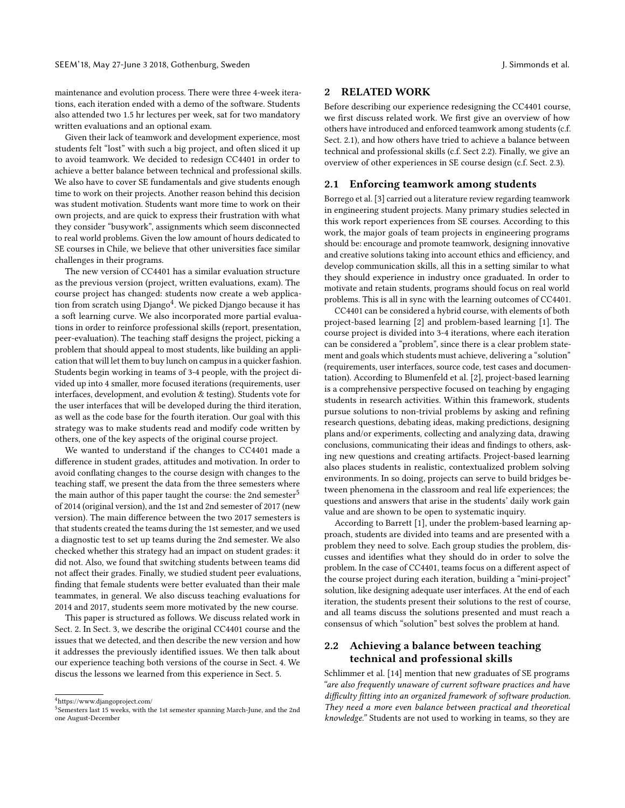maintenance and evolution process. There were three 4-week iterations, each iteration ended with a demo of the software. Students also attended two 1.5 hr lectures per week, sat for two mandatory written evaluations and an optional exam.

Given their lack of teamwork and development experience, most students felt "lost" with such a big project, and often sliced it up to avoid teamwork. We decided to redesign CC4401 in order to achieve a better balance between technical and professional skills. We also have to cover SE fundamentals and give students enough time to work on their projects. Another reason behind this decision was student motivation. Students want more time to work on their own projects, and are quick to express their frustration with what they consider "busywork", assignments which seem disconnected to real world problems. Given the low amount of hours dedicated to SE courses in Chile, we believe that other universities face similar challenges in their programs.

The new version of CC4401 has a similar evaluation structure as the previous version (project, written evaluations, exam). The course project has changed: students now create a web applica-tion from scratch using Django<sup>[4](#page-1-0)</sup>. We picked Django because it has a soft learning curve. We also incorporated more partial evaluations in order to reinforce professional skills (report, presentation, peer-evaluation). The teaching staff designs the project, picking a problem that should appeal to most students, like building an application that will let them to buy lunch on campus in a quicker fashion. Students begin working in teams of 3-4 people, with the project divided up into 4 smaller, more focused iterations (requirements, user interfaces, development, and evolution & testing). Students vote for the user interfaces that will be developed during the third iteration, as well as the code base for the fourth iteration. Our goal with this strategy was to make students read and modify code written by others, one of the key aspects of the original course project.

We wanted to understand if the changes to CC4401 made a difference in student grades, attitudes and motivation. In order to avoid conflating changes to the course design with changes to the teaching staff, we present the data from the three semesters where the main author of this paper taught the course: the 2nd semester<sup>[5](#page-1-1)</sup> of 2014 (original version), and the 1st and 2nd semester of 2017 (new version). The main difference between the two 2017 semesters is that students created the teams during the 1st semester, and we used a diagnostic test to set up teams during the 2nd semester. We also checked whether this strategy had an impact on student grades: it did not. Also, we found that switching students between teams did not affect their grades. Finally, we studied student peer evaluations, finding that female students were better evaluated than their male teammates, in general. We also discuss teaching evaluations for 2014 and 2017, students seem more motivated by the new course.

This paper is structured as follows. We discuss related work in Sect. [2.](#page-1-2) In Sect. [3,](#page-2-0) we describe the original CC4401 course and the issues that we detected, and then describe the new version and how it addresses the previously identified issues. We then talk about our experience teaching both versions of the course in Sect. [4.](#page-4-0) We discus the lessons we learned from this experience in Sect. [5.](#page-7-4)

## <span id="page-1-2"></span>2 RELATED WORK

Before describing our experience redesigning the CC4401 course, we first discuss related work. We first give an overview of how others have introduced and enforced teamwork among students (c.f. Sect. [2.1\)](#page-1-3), and how others have tried to achieve a balance between technical and professional skills (c.f. Sect [2.2\)](#page-1-4). Finally, we give an overview of other experiences in SE course design (c.f. Sect. [2.3\)](#page-2-1).

#### <span id="page-1-3"></span>2.1 Enforcing teamwork among students

Borrego et al. [\[3\]](#page-7-5) carried out a literature review regarding teamwork in engineering student projects. Many primary studies selected in this work report experiences from SE courses. According to this work, the major goals of team projects in engineering programs should be: encourage and promote teamwork, designing innovative and creative solutions taking into account ethics and efficiency, and develop communication skills, all this in a setting similar to what they should experience in industry once graduated. In order to motivate and retain students, programs should focus on real world problems. This is all in sync with the learning outcomes of CC4401.

CC4401 can be considered a hybrid course, with elements of both project-based learning [\[2\]](#page-7-6) and problem-based learning [\[1\]](#page-7-7). The course project is divided into 3-4 iterations, where each iteration can be considered a "problem", since there is a clear problem statement and goals which students must achieve, delivering a "solution" (requirements, user interfaces, source code, test cases and documentation). According to Blumenfeld et al. [\[2\]](#page-7-6), project-based learning is a comprehensive perspective focused on teaching by engaging students in research activities. Within this framework, students pursue solutions to non-trivial problems by asking and refining research questions, debating ideas, making predictions, designing plans and/or experiments, collecting and analyzing data, drawing conclusions, communicating their ideas and findings to others, asking new questions and creating artifacts. Project-based learning also places students in realistic, contextualized problem solving environments. In so doing, projects can serve to build bridges between phenomena in the classroom and real life experiences; the questions and answers that arise in the students' daily work gain value and are shown to be open to systematic inquiry.

According to Barrett [\[1\]](#page-7-7), under the problem-based learning approach, students are divided into teams and are presented with a problem they need to solve. Each group studies the problem, discusses and identifies what they should do in order to solve the problem. In the case of CC4401, teams focus on a different aspect of the course project during each iteration, building a "mini-project" solution, like designing adequate user interfaces. At the end of each iteration, the students present their solutions to the rest of course, and all teams discuss the solutions presented and must reach a consensus of which "solution" best solves the problem at hand.

# <span id="page-1-4"></span>2.2 Achieving a balance between teaching technical and professional skills

Schlimmer et al. [\[14\]](#page-7-8) mention that new graduates of SE programs "are also frequently unaware of current software practices and have difficulty fitting into an organized framework of software production. They need a more even balance between practical and theoretical knowledge." Students are not used to working in teams, so they are

<span id="page-1-0"></span> $^4$ <https://www.djangoproject.com/>

<span id="page-1-1"></span><sup>&</sup>lt;sup>5</sup>Semesters last 15 weeks, with the 1st semester spanning March-June, and the 2nd one August-December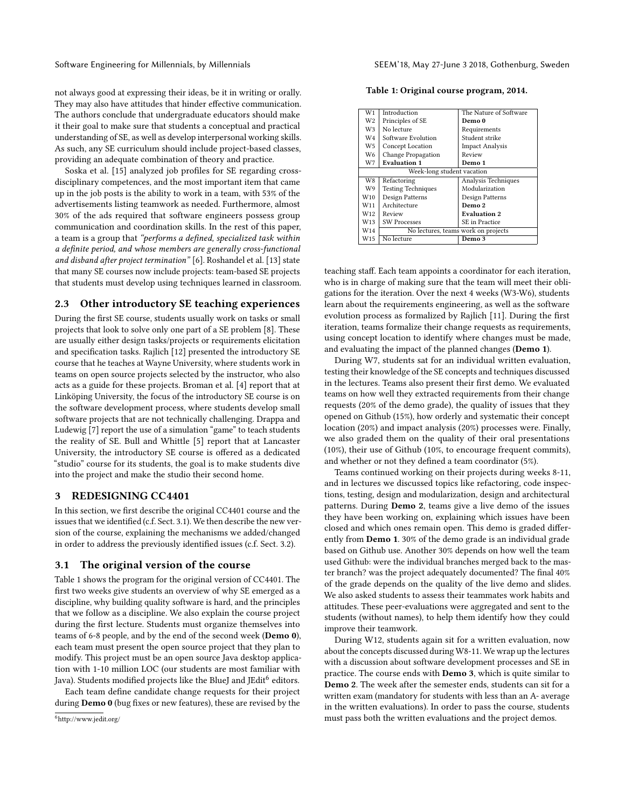not always good at expressing their ideas, be it in writing or orally. They may also have attitudes that hinder effective communication. The authors conclude that undergraduate educators should make it their goal to make sure that students a conceptual and practical understanding of SE, as well as develop interpersonal working skills. As such, any SE curriculum should include project-based classes, providing an adequate combination of theory and practice.

Soska et al. [\[15\]](#page-7-9) analyzed job profiles for SE regarding crossdisciplinary competences, and the most important item that came up in the job posts is the ability to work in a team, with 53% of the advertisements listing teamwork as needed. Furthermore, almost 30% of the ads required that software engineers possess group communication and coordination skills. In the rest of this paper, a team is a group that "performs a defined, specialized task within a definite period, and whose members are generally cross-functional and disband after project termination" [\[6\]](#page-7-10). Roshandel et al. [\[13\]](#page-7-11) state that many SE courses now include projects: team-based SE projects that students must develop using techniques learned in classroom.

#### <span id="page-2-1"></span>2.3 Other introductory SE teaching experiences

During the first SE course, students usually work on tasks or small projects that look to solve only one part of a SE problem [\[8\]](#page-7-12). These are usually either design tasks/projects or requirements elicitation and specification tasks. Rajlich [\[12\]](#page-7-13) presented the introductory SE course that he teaches at Wayne University, where students work in teams on open source projects selected by the instructor, who also acts as a guide for these projects. Broman et al. [\[4\]](#page-7-14) report that at Linköping University, the focus of the introductory SE course is on the software development process, where students develop small software projects that are not technically challenging. Drappa and Ludewig [\[7\]](#page-7-15) report the use of a simulation "game" to teach students the reality of SE. Bull and Whittle [\[5\]](#page-7-16) report that at Lancaster University, the introductory SE course is offered as a dedicated "studio" course for its students, the goal is to make students dive into the project and make the studio their second home.

#### <span id="page-2-0"></span>3 REDESIGNING CC4401

In this section, we first describe the original CC4401 course and the issues that we identified (c.f. Sect. [3.1\)](#page-2-2). We then describe the new version of the course, explaining the mechanisms we added/changed in order to address the previously identified issues (c.f. Sect. [3.2\)](#page-3-0).

#### <span id="page-2-2"></span>3.1 The original version of the course

Table [1](#page-2-3) shows the program for the original version of CC4401. The first two weeks give students an overview of why SE emerged as a discipline, why building quality software is hard, and the principles that we follow as a discipline. We also explain the course project during the first lecture. Students must organize themselves into teams of 6-8 people, and by the end of the second week (Demo 0), each team must present the open source project that they plan to modify. This project must be an open source Java desktop application with 1-10 million LOC (our students are most familiar with Java). Students modified projects like the BlueJ and JE $\rm{dit}^6$  $\rm{dit}^6$  editors.

Each team define candidate change requests for their project during Demo 0 (bug fixes or new features), these are revised by the

<span id="page-2-3"></span>Table 1: Original course program, 2014.

| W1                         | Introduction                        | The Nature of Software |  |  |  |  |  |
|----------------------------|-------------------------------------|------------------------|--|--|--|--|--|
| W <sub>2</sub>             | Principles of SE                    | Demo 0                 |  |  |  |  |  |
| W3                         | No lecture                          | Requirements           |  |  |  |  |  |
| W <sub>4</sub>             | Software Evolution                  | Student strike         |  |  |  |  |  |
| W <sub>5</sub>             | Concept Location                    | <b>Impact Analysis</b> |  |  |  |  |  |
| W <sub>6</sub>             | Change Propagation                  | Review                 |  |  |  |  |  |
| W7                         | <b>Evaluation 1</b>                 | Demo 1                 |  |  |  |  |  |
| Week-long student vacation |                                     |                        |  |  |  |  |  |
| W <sub>8</sub>             | Refactoring                         | Analysis Techniques    |  |  |  |  |  |
| W9                         | <b>Testing Techniques</b>           | Modularization         |  |  |  |  |  |
| W <sub>10</sub>            | Design Patterns                     | Design Patterns        |  |  |  |  |  |
| W11                        | Architecture                        | Demo 2                 |  |  |  |  |  |
| W12                        | Review                              | <b>Evaluation 2</b>    |  |  |  |  |  |
| W <sub>13</sub>            | <b>SW Processes</b>                 | SE in Practice         |  |  |  |  |  |
| W14                        | No lectures, teams work on projects |                        |  |  |  |  |  |
| W15                        | No lecture                          | Demo 3                 |  |  |  |  |  |
|                            |                                     |                        |  |  |  |  |  |

teaching staff. Each team appoints a coordinator for each iteration, who is in charge of making sure that the team will meet their obligations for the iteration. Over the next 4 weeks (W3-W6), students learn about the requirements engineering, as well as the software evolution process as formalized by Rajlich [\[11\]](#page-7-3). During the first iteration, teams formalize their change requests as requirements, using concept location to identify where changes must be made, and evaluating the impact of the planned changes (Demo 1).

During W7, students sat for an individual written evaluation, testing their knowledge of the SE concepts and techniques discussed in the lectures. Teams also present their first demo. We evaluated teams on how well they extracted requirements from their change requests (20% of the demo grade), the quality of issues that they opened on Github (15%), how orderly and systematic their concept location (20%) and impact analysis (20%) processes were. Finally, we also graded them on the quality of their oral presentations (10%), their use of Github (10%, to encourage frequent commits), and whether or not they defined a team coordinator (5%).

Teams continued working on their projects during weeks 8-11, and in lectures we discussed topics like refactoring, code inspections, testing, design and modularization, design and architectural patterns. During Demo 2, teams give a live demo of the issues they have been working on, explaining which issues have been closed and which ones remain open. This demo is graded differently from Demo 1. 30% of the demo grade is an individual grade based on Github use. Another 30% depends on how well the team used Github: were the individual branches merged back to the master branch? was the project adequately documented? The final 40% of the grade depends on the quality of the live demo and slides. We also asked students to assess their teammates work habits and attitudes. These peer-evaluations were aggregated and sent to the students (without names), to help them identify how they could improve their teamwork.

During W12, students again sit for a written evaluation, now about the concepts discussed during W8-11. We wrap up the lectures with a discussion about software development processes and SE in practice. The course ends with Demo 3, which is quite similar to Demo 2. The week after the semester ends, students can sit for a written exam (mandatory for students with less than an A- average in the written evaluations). In order to pass the course, students must pass both the written evaluations and the project demos.

<span id="page-2-4"></span><sup>6</sup><http://www.jedit.org/>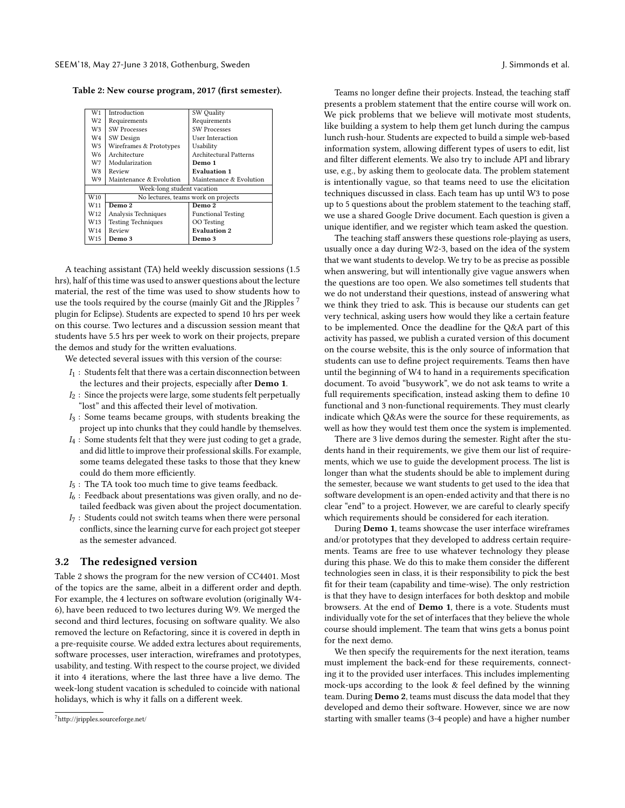<span id="page-3-2"></span>Table 2: New course program, 2017 (first semester).

| W1              | Introduction                        | SW Quality                    |  |  |  |  |
|-----------------|-------------------------------------|-------------------------------|--|--|--|--|
| W2              | Requirements                        | Requirements                  |  |  |  |  |
| W3.             | <b>SW Processes</b>                 | <b>SW Processes</b>           |  |  |  |  |
| W4              | SW Design                           | User Interaction              |  |  |  |  |
| W5.             | Wireframes & Prototypes             | Usability                     |  |  |  |  |
| W6              | Architecture                        | <b>Architectural Patterns</b> |  |  |  |  |
| W7.             | Modularization                      | Demo 1                        |  |  |  |  |
| W8.             | Review                              | <b>Evaluation 1</b>           |  |  |  |  |
| W9.             | Maintenance & Evolution             | Maintenance & Evolution       |  |  |  |  |
|                 | Week-long student vacation          |                               |  |  |  |  |
| W <sub>10</sub> | No lectures, teams work on projects |                               |  |  |  |  |
| W <sub>11</sub> | Demo 2                              | Demo 2                        |  |  |  |  |
| W12             | Analysis Techniques                 | <b>Functional Testing</b>     |  |  |  |  |
| W13             | <b>Testing Techniques</b>           | OO Testing                    |  |  |  |  |
| W14             | Review                              | <b>Evaluation 2</b>           |  |  |  |  |
| W15             | Demo 3                              | Demo 3                        |  |  |  |  |
|                 |                                     |                               |  |  |  |  |

A teaching assistant (TA) held weekly discussion sessions (1.5 hrs), half of this time was used to answer questions about the lecture material, the rest of the time was used to show students how to use the tools required by the course (mainly Git and the JRipples<sup>[7](#page-3-1)</sup> plugin for Eclipse). Students are expected to spend 10 hrs per week on this course. Two lectures and a discussion session meant that students have 5.5 hrs per week to work on their projects, prepare the demos and study for the written evaluations.

We detected several issues with this version of the course:

- $I_1$ : Students felt that there was a certain disconnection between the lectures and their projects, especially after Demo 1.
- $I_2$ : Since the projects were large, some students felt perpetually "lost" and this affected their level of motivation.
- $I_3$ : Some teams became groups, with students breaking the project up into chunks that they could handle by themselves.
- $I_4$ : Some students felt that they were just coding to get a grade, and did little to improve their professional skills. For example, some teams delegated these tasks to those that they knew could do them more efficiently.
- $I_5$ : The TA took too much time to give teams feedback.
- $I_6$ : Feedback about presentations was given orally, and no detailed feedback was given about the project documentation.
- $I_7$ : Students could not switch teams when there were personal conflicts, since the learning curve for each project got steeper as the semester advanced.

#### <span id="page-3-0"></span>3.2 The redesigned version

Table [2](#page-3-2) shows the program for the new version of CC4401. Most of the topics are the same, albeit in a different order and depth. For example, the 4 lectures on software evolution (originally W4- 6), have been reduced to two lectures during W9. We merged the second and third lectures, focusing on software quality. We also removed the lecture on Refactoring, since it is covered in depth in a pre-requisite course. We added extra lectures about requirements, software processes, user interaction, wireframes and prototypes, usability, and testing. With respect to the course project, we divided it into 4 iterations, where the last three have a live demo. The week-long student vacation is scheduled to coincide with national holidays, which is why it falls on a different week.

Teams no longer define their projects. Instead, the teaching staff presents a problem statement that the entire course will work on.

We pick problems that we believe will motivate most students, like building a system to help them get lunch during the campus lunch rush-hour. Students are expected to build a simple web-based information system, allowing different types of users to edit, list and filter different elements. We also try to include API and library use, e.g., by asking them to geolocate data. The problem statement is intentionally vague, so that teams need to use the elicitation techniques discussed in class. Each team has up until W3 to pose up to 5 questions about the problem statement to the teaching staff, we use a shared Google Drive document. Each question is given a unique identifier, and we register which team asked the question.

The teaching staff answers these questions role-playing as users, usually once a day during W2-3, based on the idea of the system that we want students to develop. We try to be as precise as possible when answering, but will intentionally give vague answers when the questions are too open. We also sometimes tell students that we do not understand their questions, instead of answering what we think they tried to ask. This is because our students can get very technical, asking users how would they like a certain feature to be implemented. Once the deadline for the Q&A part of this activity has passed, we publish a curated version of this document on the course website, this is the only source of information that students can use to define project requirements. Teams then have until the beginning of W4 to hand in a requirements specification document. To avoid "busywork", we do not ask teams to write a full requirements specification, instead asking them to define 10 functional and 3 non-functional requirements. They must clearly indicate which Q&As were the source for these requirements, as well as how they would test them once the system is implemented.

There are 3 live demos during the semester. Right after the students hand in their requirements, we give them our list of requirements, which we use to guide the development process. The list is longer than what the students should be able to implement during the semester, because we want students to get used to the idea that software development is an open-ended activity and that there is no clear "end" to a project. However, we are careful to clearly specify which requirements should be considered for each iteration.

During Demo 1, teams showcase the user interface wireframes and/or prototypes that they developed to address certain requirements. Teams are free to use whatever technology they please during this phase. We do this to make them consider the different technologies seen in class, it is their responsibility to pick the best fit for their team (capability and time-wise). The only restriction is that they have to design interfaces for both desktop and mobile browsers. At the end of Demo 1, there is a vote. Students must individually vote for the set of interfaces that they believe the whole course should implement. The team that wins gets a bonus point for the next demo.

We then specify the requirements for the next iteration, teams must implement the back-end for these requirements, connecting it to the provided user interfaces. This includes implementing mock-ups according to the look & feel defined by the winning team. During Demo 2, teams must discuss the data model that they developed and demo their software. However, since we are now starting with smaller teams (3-4 people) and have a higher number

<span id="page-3-1"></span><sup>7</sup><http://jripples.sourceforge.net/>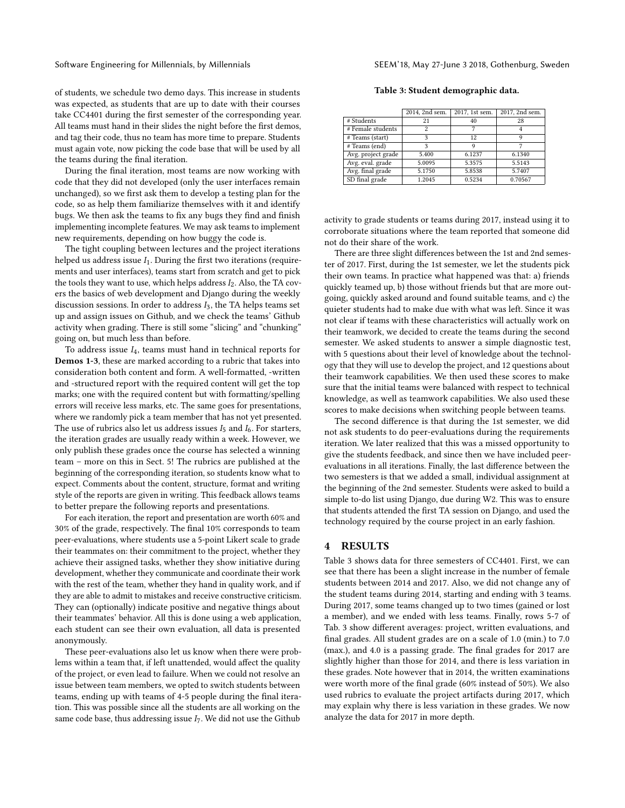of students, we schedule two demo days. This increase in students was expected, as students that are up to date with their courses take CC4401 during the first semester of the corresponding year. All teams must hand in their slides the night before the first demos, and tag their code, thus no team has more time to prepare. Students must again vote, now picking the code base that will be used by all the teams during the final iteration.

During the final iteration, most teams are now working with code that they did not developed (only the user interfaces remain unchanged), so we first ask them to develop a testing plan for the code, so as help them familiarize themselves with it and identify bugs. We then ask the teams to fix any bugs they find and finish implementing incomplete features. We may ask teams to implement new requirements, depending on how buggy the code is.

The tight coupling between lectures and the project iterations helped us address issue  $I_1$ . During the first two iterations (requirements and user interfaces), teams start from scratch and get to pick the tools they want to use, which helps address  $I_2$ . Also, the TA covers the basics of web development and Django during the weekly discussion sessions. In order to address  $I_3$ , the TA helps teams set up and assign issues on Github, and we check the teams' Github activity when grading. There is still some "slicing" and "chunking" going on, but much less than before.

To address issue  $I_4$ , teams must hand in technical reports for Demos 1-3, these are marked according to a rubric that takes into consideration both content and form. A well-formatted, -written and -structured report with the required content will get the top marks; one with the required content but with formatting/spelling errors will receive less marks, etc. The same goes for presentations, where we randomly pick a team member that has not yet presented. The use of rubrics also let us address issues  $I_5$  and  $I_6$ . For starters, the iteration grades are usually ready within a week. However, we only publish these grades once the course has selected a winning team – more on this in Sect. [5!](#page-7-4) The rubrics are published at the beginning of the corresponding iteration, so students know what to expect. Comments about the content, structure, format and writing style of the reports are given in writing. This feedback allows teams to better prepare the following reports and presentations.

For each iteration, the report and presentation are worth 60% and 30% of the grade, respectively. The final 10% corresponds to team peer-evaluations, where students use a 5-point Likert scale to grade their teammates on: their commitment to the project, whether they achieve their assigned tasks, whether they show initiative during development, whether they communicate and coordinate their work with the rest of the team, whether they hand in quality work, and if they are able to admit to mistakes and receive constructive criticism. They can (optionally) indicate positive and negative things about their teammates' behavior. All this is done using a web application, each student can see their own evaluation, all data is presented anonymously.

These peer-evaluations also let us know when there were problems within a team that, if left unattended, would affect the quality of the project, or even lead to failure. When we could not resolve an issue between team members, we opted to switch students between teams, ending up with teams of 4-5 people during the final iteration. This was possible since all the students are all working on the same code base, thus addressing issue  $I<sub>7</sub>$ . We did not use the Github

| Table 3: Student demographic data. |  |  |
|------------------------------------|--|--|
|------------------------------------|--|--|

<span id="page-4-1"></span>

|                    | 2014, 2nd sem. | 2017, 1st sem. | 2017, 2nd sem. |
|--------------------|----------------|----------------|----------------|
| # Students         | 21             | 40             | 28             |
| # Female students  | 2              |                |                |
| # Teams (start)    | ٩              | 12             | 9              |
| # Teams (end)      | ٩              | Q              |                |
| Avg. project grade | 5.400          | 6.1237         | 6.1340         |
| Avg. eval. grade   | 5.0095         | 5.3575         | 5.5143         |
| Avg. final grade   | 5.1750         | 5.8538         | 5.7407         |
| SD final grade     | 1.2045         | 0.5234         | 0.70567        |

activity to grade students or teams during 2017, instead using it to corroborate situations where the team reported that someone did not do their share of the work.

There are three slight differences between the 1st and 2nd semester of 2017. First, during the 1st semester, we let the students pick their own teams. In practice what happened was that: a) friends quickly teamed up, b) those without friends but that are more outgoing, quickly asked around and found suitable teams, and c) the quieter students had to make due with what was left. Since it was not clear if teams with these characteristics will actually work on their teamwork, we decided to create the teams during the second semester. We asked students to answer a simple diagnostic test, with 5 questions about their level of knowledge about the technology that they will use to develop the project, and 12 questions about their teamwork capabilities. We then used these scores to make sure that the initial teams were balanced with respect to technical knowledge, as well as teamwork capabilities. We also used these scores to make decisions when switching people between teams.

The second difference is that during the 1st semester, we did not ask students to do peer-evaluations during the requirements iteration. We later realized that this was a missed opportunity to give the students feedback, and since then we have included peerevaluations in all iterations. Finally, the last difference between the two semesters is that we added a small, individual assignment at the beginning of the 2nd semester. Students were asked to build a simple to-do list using Django, due during W2. This was to ensure that students attended the first TA session on Django, and used the technology required by the course project in an early fashion.

### <span id="page-4-0"></span>4 RESULTS

Table [3](#page-4-1) shows data for three semesters of CC4401. First, we can see that there has been a slight increase in the number of female students between 2014 and 2017. Also, we did not change any of the student teams during 2014, starting and ending with 3 teams. During 2017, some teams changed up to two times (gained or lost a member), and we ended with less teams. Finally, rows 5-7 of Tab. [3](#page-4-1) show different averages: project, written evaluations, and final grades. All student grades are on a scale of 1.0 (min.) to 7.0 (max.), and 4.0 is a passing grade. The final grades for 2017 are slightly higher than those for 2014, and there is less variation in these grades. Note however that in 2014, the written examinations were worth more of the final grade (60% instead of 50%). We also used rubrics to evaluate the project artifacts during 2017, which may explain why there is less variation in these grades. We now analyze the data for 2017 in more depth.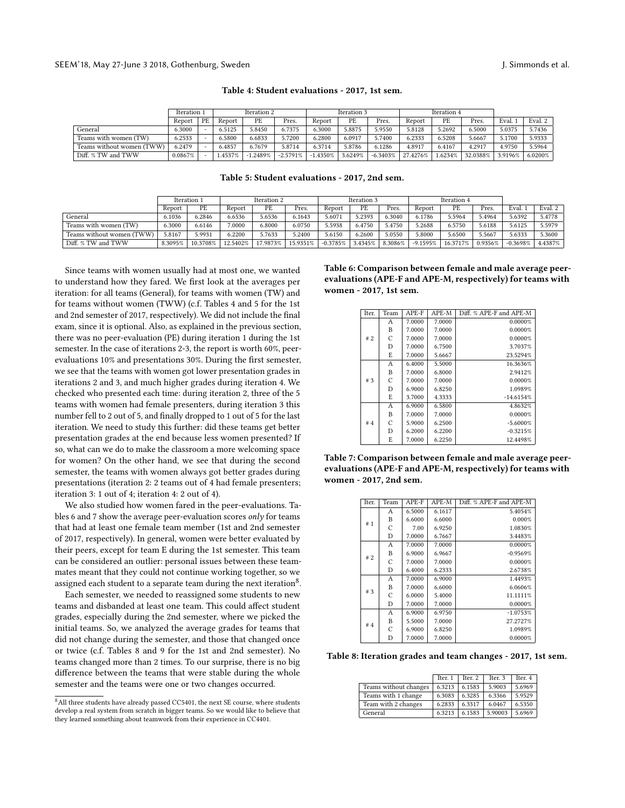<span id="page-5-0"></span>

|                           | Iteration 1 |                          | Iteration 2 |        |            | Iteration 3 |         | Iteration 4 |          |         |          |         |         |
|---------------------------|-------------|--------------------------|-------------|--------|------------|-------------|---------|-------------|----------|---------|----------|---------|---------|
|                           | Report      | PE                       | Report      | PE     | Pres.      | Report      | PE      | Pres.       | Report   | PE      | Pres.    | Eval.   | Eval. 2 |
| General                   | 6.3000      | $\overline{\phantom{a}}$ | 6.5125      | 5.8450 | 6.7375     | 6.3000      | 5.8875  | 5.9550      | 5.8128   | 5.2692  | 6.5000   | 5.0375  | 5.7436  |
| Teams with women (TW)     | 6.2533      |                          | 6.5800      | 6.6833 | 5.7200     | 6.2800      | 6.0917  | 5.7400      | 6.2333   | 6.5208  | 5.6667   | 5.1700  | 5.9333  |
| Teams without women (TWW) | 6.2479      |                          | 6.4857      | 6.7679 | 5.8714     | 6.3714      | 5.8786  | 6.1286      | 4.8917   | 6.4167  | 4.291    | 4.9750  | 5.5964  |
| Diff. % TW and TWW        | $0.0867\%$  |                          | 1.4537%     | .2489% | $-2.5791%$ | 1.4350%     | 3.6249% | $-6.3403%$  | 27.4276% | 1.6234% | 32.0388% | 3.9196% | 6.0200% |

Table 4: Student evaluations - 2017, 1st sem.

Table 5: Student evaluations - 2017, 2nd sem.

<span id="page-5-1"></span>

|                           | Iteration 2<br>Iteration 1 |          |          | Iteration 3 |          |            | Iteration 4 |         |            |          |         |            |                     |
|---------------------------|----------------------------|----------|----------|-------------|----------|------------|-------------|---------|------------|----------|---------|------------|---------------------|
|                           | Report                     | PE       | Report   | PE          | Pres.    | Report     | PE          | Pres.   | Report     | PE       | Pres.   | Eval.      | Eval. $2 \parallel$ |
| General                   | 6.1036                     | 6.2846   | 6.6536   | 5.6536      | 6.1643   | 5.6071     | 5.2393      | 6.3040  | 6.1786     | 5.5964   | 5.4964  | 5.6392     | 5.4778              |
| Teams with women (TW)     | 6.3000                     | 6.6146   | .0000    | 6.8000      | 6.0750   | 5.5938     | 6.4750      | 5.4750  | 5.2688     | 6.5750   | 5.6188  | 5.6125     | 5.5979              |
| Teams without women (TWW) | 5.8167                     | 5.993    | 6.2200   | 5.7633      | 5.2400   | 5.6150     | 6.2600      | 5.0550  | 5.8000     | 5.6500   | 5.5667  | 5.6333     | 5.3600              |
| Diff. % TW and TWW        | 8.3095%                    | 10.3708% | 12.5402% | 17.9873%    | 15.9351% | $-0.3785%$ | 3.4345%     | 8.3086% | $-9.1595%$ | 16.3717% | 0.9356% | $-0.3698%$ | 4.4387%             |

Since teams with women usually had at most one, we wanted to understand how they fared. We first look at the averages per iteration: for all teams (General), for teams with women (TW) and for teams without women (TWW) (c.f. Tables [4](#page-5-0) and [5](#page-5-1) for the 1st and 2nd semester of 2017, respectively). We did not include the final exam, since it is optional. Also, as explained in the previous section, there was no peer-evaluation (PE) during iteration 1 during the 1st semester. In the case of iterations 2-3, the report is worth 60%, peerevaluations 10% and presentations 30%. During the first semester, we see that the teams with women got lower presentation grades in iterations 2 and 3, and much higher grades during iteration 4. We checked who presented each time: during iteration 2, three of the 5 teams with women had female presenters, during iteration 3 this number fell to 2 out of 5, and finally dropped to 1 out of 5 for the last iteration. We need to study this further: did these teams get better presentation grades at the end because less women presented? If so, what can we do to make the classroom a more welcoming space for women? On the other hand, we see that during the second semester, the teams with women always got better grades during presentations (iteration 2: 2 teams out of 4 had female presenters; iteration 3: 1 out of 4; iteration 4: 2 out of 4).

We also studied how women fared in the peer-evaluations. Tables [6](#page-5-2) and [7](#page-5-3) show the average peer-evaluation scores only for teams that had at least one female team member (1st and 2nd semester of 2017, respectively). In general, women were better evaluated by their peers, except for team E during the 1st semester. This team can be considered an outlier: personal issues between these teammates meant that they could not continue working together, so we assigned each student to a separate team during the next iteration $^8$  $^8$ .

Each semester, we needed to reassigned some students to new teams and disbanded at least one team. This could affect student grades, especially during the 2nd semester, where we picked the initial teams. So, we analyzed the average grades for teams that did not change during the semester, and those that changed once or twice (c.f. Tables [8](#page-5-5) and [9](#page-6-0) for the 1st and 2nd semester). No teams changed more than 2 times. To our surprise, there is no big difference between the teams that were stable during the whole semester and the teams were one or two changes occurred.

<span id="page-5-2"></span>Table 6: Comparison between female and male average peerevaluations (APE-F and APE-M, respectively) for teams with women - 2017, 1st sem.

|  | Iter. | Team | APE-F                                                                                            | APE-M   | Diff. % APE-F and APE-M |
|--|-------|------|--------------------------------------------------------------------------------------------------|---------|-------------------------|
|  |       | Α    | 7.0000                                                                                           | 7.0000  | 0.0000%                 |
|  |       | B    | 7.0000                                                                                           | 7.0000  | 0.0000%                 |
|  | #2    | C    | 7.0000                                                                                           | 7.0000  | 0.0000%                 |
|  |       | D    | 7.0000                                                                                           | 6.7500  | 3.7037%                 |
|  |       | E    | 7.0000                                                                                           | 5.6667  | 23.5294%                |
|  |       | A    | 6.4000                                                                                           | 5.5000  | 16.3636%                |
|  |       | B    | 7.0000                                                                                           | 6.8000  | 2.9412%                 |
|  | #3    | C    | 7.0000                                                                                           | 7.0000  | 0.0000%                 |
|  |       | D    | 6.9000<br>6.8250<br>3.7000<br>4.3333<br>6.9000<br>6.5800<br>7.0000<br>7.0000<br>5.9000<br>6.2500 | 1.0989% |                         |
|  |       | E    |                                                                                                  |         | $-14.6154%$             |
|  |       | A    |                                                                                                  |         | 4.8632%                 |
|  |       | B    |                                                                                                  |         | 0.0000%                 |
|  | # $4$ | С    |                                                                                                  |         | $-5.6000%$              |
|  |       | D    | 6.2000                                                                                           | 6.2200  | $-0.3215%$              |
|  |       | E    | 7.0000                                                                                           | 6.2250  | 12.4498%                |

<span id="page-5-3"></span>Table 7: Comparison between female and male average peerevaluations (APE-F and APE-M, respectively) for teams with women - 2017, 2nd sem.

| Iter. | Team | APE-F  | APE-M  | Diff. % APE-F and APE-M |
|-------|------|--------|--------|-------------------------|
|       | A    | 6.5000 | 6.1617 | 5.4054%                 |
|       | B    | 6.6000 | 6.6000 | 0.000%                  |
| #1    | C    | 7.00   | 6.9250 | 1.0830%                 |
|       | D    | 7.0000 | 6.7667 | 3.4483%                 |
|       | А    | 7.0000 | 7.0000 | 0.0000%                 |
|       | B    | 6.9000 | 6.9667 | $-0.9569%$              |
| #2    | C    | 7.0000 | 7.0000 | 0.0000%                 |
|       | D    | 6.4000 | 6.2333 | 2.6738%                 |
|       | A    | 7.0000 | 6.9000 | 1.4493%                 |
| #3    | B    | 7.0000 | 6.6000 | 6.0606%                 |
|       | C    | 6.0000 | 5.4000 | 11.1111%                |
|       | D    | 7.0000 | 7.0000 | 0.0000%                 |
|       | А    | 6.9000 | 6.9750 | $-1.0753%$              |
| # $4$ | B    | 5.5000 | 7.0000 | 27.2727%                |
|       | C    | 6.9000 | 6.8250 | 1.0989%                 |
|       | D    | 7.0000 | 7.0000 | 0.0000%                 |

<span id="page-5-5"></span>Table 8: Iteration grades and team changes - 2017, 1st sem.

|                       | Iter. 1 | Iter. 2 | Iter. 3 | Iter. 4 |
|-----------------------|---------|---------|---------|---------|
| Teams without changes | 6.3213  | 6.1583  | 5.9003  | 5.6969  |
| Teams with 1 change   | 6.3083  | 6.3285  | 6.3366  | 5.9529  |
| Team with 2 changes   | 6.2833  | 6.3317  | 6.0467  | 6.5350  |
| General               | 6.3213  | 6.1583  | 5.90003 | 5.6969  |

<span id="page-5-4"></span> $8$ All three students have already passed CC5401, the next SE course, where students develop a real system from scratch in bigger teams. So we would like to believe that they learned something about teamwork from their experience in CC4401.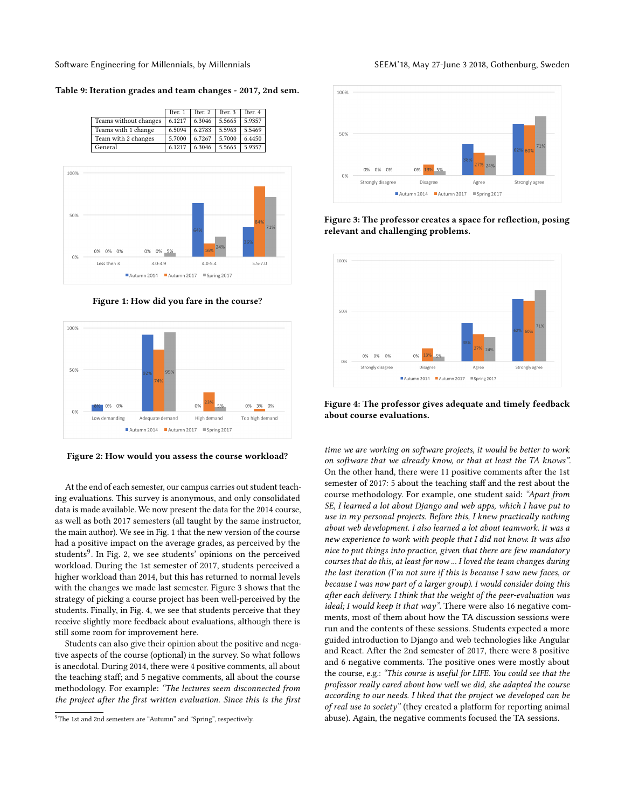Software Engineering for Millennials, by Millennials Seemann SEEM'18, May 27-June 3 2018, Gothenburg, Sweden

<span id="page-6-0"></span>Table 9: Iteration grades and team changes - 2017, 2nd sem.



<span id="page-6-1"></span>

Figure 1: How did you fare in the course?

<span id="page-6-3"></span>

Figure 2: How would you assess the course workload?

At the end of each semester, our campus carries out student teaching evaluations. This survey is anonymous, and only consolidated data is made available. We now present the data for the 2014 course, as well as both 2017 semesters (all taught by the same instructor, the main author). We see in Fig. [1](#page-6-1) that the new version of the course had a positive impact on the average grades, as perceived by the students<sup>[9](#page-6-2)</sup>. In Fig. [2,](#page-6-3) we see students' opinions on the perceived workload. During the 1st semester of 2017, students perceived a higher workload than 2014, but this has returned to normal levels with the changes we made last semester. Figure [3](#page-6-4) shows that the strategy of picking a course project has been well-perceived by the students. Finally, in Fig. [4,](#page-6-5) we see that students perceive that they receive slightly more feedback about evaluations, although there is still some room for improvement here.

Students can also give their opinion about the positive and negative aspects of the course (optional) in the survey. So what follows is anecdotal. During 2014, there were 4 positive comments, all about the teaching staff; and 5 negative comments, all about the course methodology. For example: "The lectures seem disconnected from the project after the first written evaluation. Since this is the first

<span id="page-6-4"></span>

Figure 3: The professor creates a space for reflection, posing relevant and challenging problems.

<span id="page-6-5"></span>

Figure 4: The professor gives adequate and timely feedback about course evaluations.

time we are working on software projects, it would be better to work on software that we already know, or that at least the TA knows". On the other hand, there were 11 positive comments after the 1st semester of 2017: 5 about the teaching staff and the rest about the course methodology. For example, one student said: "Apart from SE, I learned a lot about Django and web apps, which I have put to use in my personal projects. Before this, I knew practically nothing about web development. I also learned a lot about teamwork. It was a new experience to work with people that I did not know. It was also nice to put things into practice, given that there are few mandatory courses that do this, at least for now ... I loved the team changes during the last iteration (I'm not sure if this is because I saw new faces, or because I was now part of a larger group). I would consider doing this after each delivery. I think that the weight of the peer-evaluation was ideal; I would keep it that way". There were also 16 negative comments, most of them about how the TA discussion sessions were run and the contents of these sessions. Students expected a more guided introduction to Django and web technologies like Angular and React. After the 2nd semester of 2017, there were 8 positive and 6 negative comments. The positive ones were mostly about the course, e.g.: "This course is useful for LIFE. You could see that the professor really cared about how well we did, she adapted the course according to our needs. I liked that the project we developed can be of real use to society" (they created a platform for reporting animal abuse). Again, the negative comments focused the TA sessions.

<span id="page-6-2"></span><sup>9</sup>The 1st and 2nd semesters are "Autumn" and "Spring", respectively.